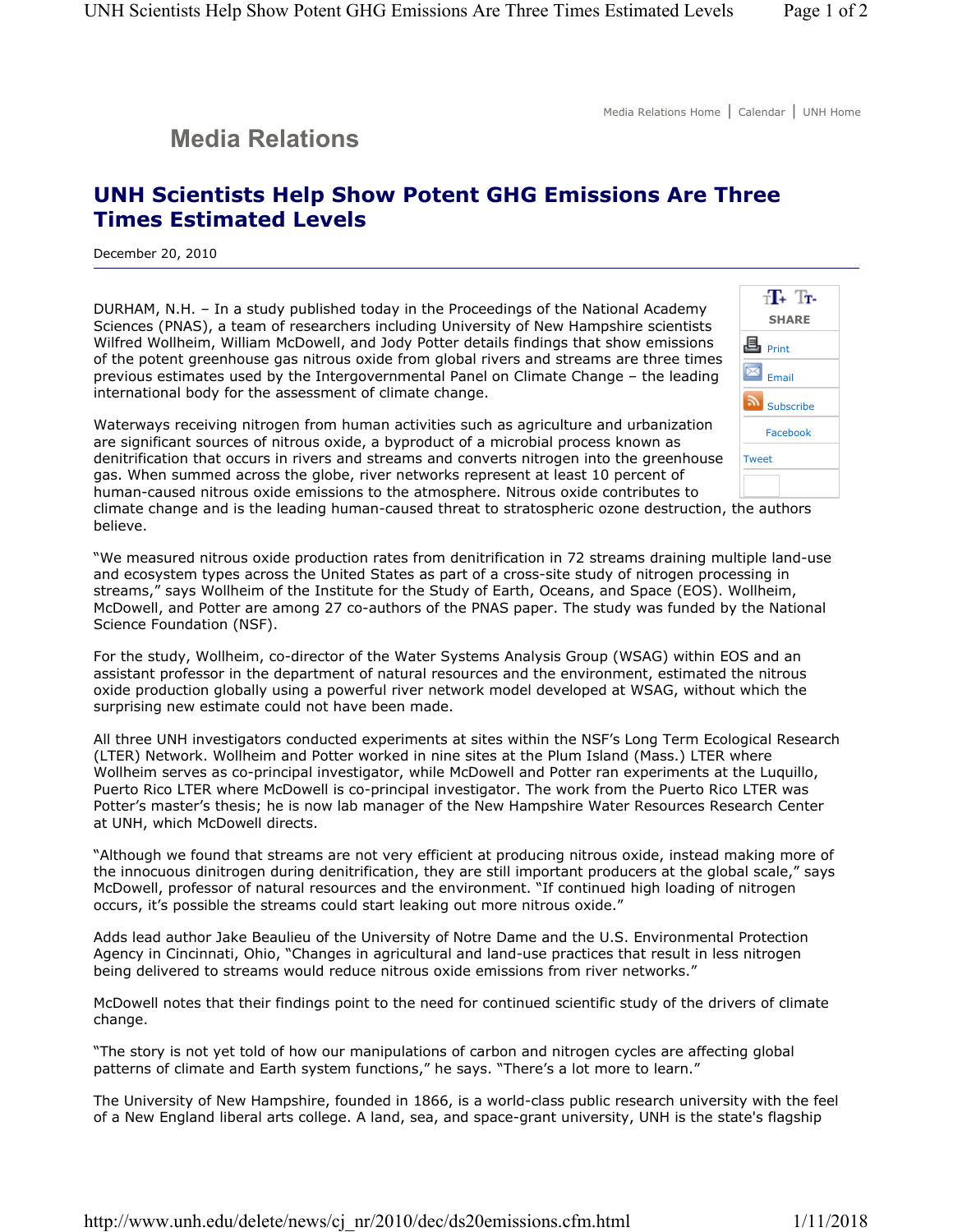## **Media Relations**

## **UNH Scientists Help Show Potent GHG Emissions Are Three Times Estimated Levels**

December 20, 2010

DURHAM, N.H. – In a study published today in the Proceedings of the National Academy Sciences (PNAS), a team of researchers including University of New Hampshire scientists Wilfred Wollheim, William McDowell, and Jody Potter details findings that show emissions of the potent greenhouse gas nitrous oxide from global rivers and streams are three times previous estimates used by the Intergovernmental Panel on Climate Change – the leading international body for the assessment of climate change.

Waterways receiving nitrogen from human activities such as agriculture and urbanization are significant sources of nitrous oxide, a byproduct of a microbial process known as denitrification that occurs in rivers and streams and converts nitrogen into the greenhouse gas. When summed across the globe, river networks represent at least 10 percent of human-caused nitrous oxide emissions to the atmosphere. Nitrous oxide contributes to



climate change and is the leading human-caused threat to stratospheric ozone destruction, the authors believe.

"We measured nitrous oxide production rates from denitrification in 72 streams draining multiple land-use and ecosystem types across the United States as part of a cross-site study of nitrogen processing in streams," says Wollheim of the Institute for the Study of Earth, Oceans, and Space (EOS). Wollheim, McDowell, and Potter are among 27 co-authors of the PNAS paper. The study was funded by the National Science Foundation (NSF).

For the study, Wollheim, co-director of the Water Systems Analysis Group (WSAG) within EOS and an assistant professor in the department of natural resources and the environment, estimated the nitrous oxide production globally using a powerful river network model developed at WSAG, without which the surprising new estimate could not have been made.

All three UNH investigators conducted experiments at sites within the NSF's Long Term Ecological Research (LTER) Network. Wollheim and Potter worked in nine sites at the Plum Island (Mass.) LTER where Wollheim serves as co-principal investigator, while McDowell and Potter ran experiments at the Luquillo, Puerto Rico LTER where McDowell is co-principal investigator. The work from the Puerto Rico LTER was Potter's master's thesis; he is now lab manager of the New Hampshire Water Resources Research Center at UNH, which McDowell directs.

"Although we found that streams are not very efficient at producing nitrous oxide, instead making more of the innocuous dinitrogen during denitrification, they are still important producers at the global scale," says McDowell, professor of natural resources and the environment. "If continued high loading of nitrogen occurs, it's possible the streams could start leaking out more nitrous oxide."

Adds lead author Jake Beaulieu of the University of Notre Dame and the U.S. Environmental Protection Agency in Cincinnati, Ohio, "Changes in agricultural and land-use practices that result in less nitrogen being delivered to streams would reduce nitrous oxide emissions from river networks."

McDowell notes that their findings point to the need for continued scientific study of the drivers of climate change.

"The story is not yet told of how our manipulations of carbon and nitrogen cycles are affecting global patterns of climate and Earth system functions," he says. "There's a lot more to learn."

The University of New Hampshire, founded in 1866, is a world-class public research university with the feel of a New England liberal arts college. A land, sea, and space-grant university, UNH is the state's flagship